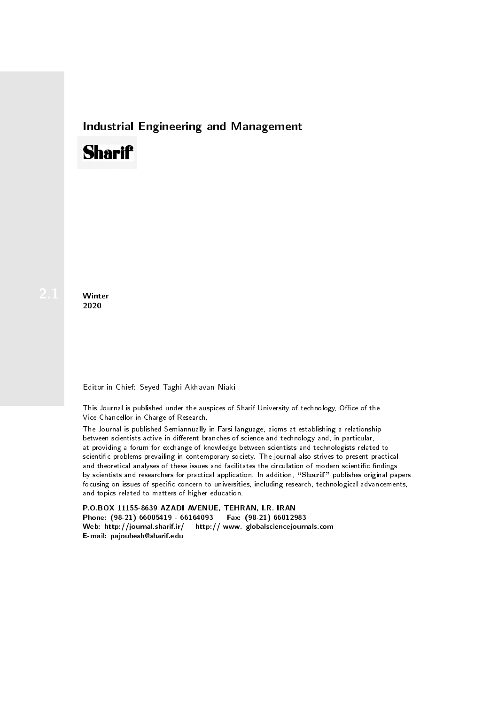## Industrial Engineering and Management

# **Sharif**

**Winter** 2020

#### Editor-in-Chief: Seyed Taghi Akhavan Niaki

This Journal is published under the auspices of Sharif University of technology, Office of the Vice-Chancellor-in-Charge of Research.

The Journal is published Semiannually in Farsi language, aiqms at establishing a relationship between scientists active in different branches of science and technology and, in particular, at providing a forum for exchange of knowledge between scientists and technologists related to scientic problems prevailing in contemporary society. The journal also strives to present practical and theoretical analyses of these issues and facilitates the circulation of modern scientific findings by scientists and researchers for practical application. In addition, "Sharif" publishes original papers focusing on issues of specific concern to universities, including research, technological advancements, and topics related to matters of higher education.

P.O.BOX 11155-8639 AZADI AVENUE, TEHRAN, I.R. IRAN Phone: (98-21) 66005419 - 66164093 Fax: (98-21) 66012983 Web: http://journal.sharif.ir/ http:// www. globalsciencejournals.com E-mail: pajouhesh@sharif.edu